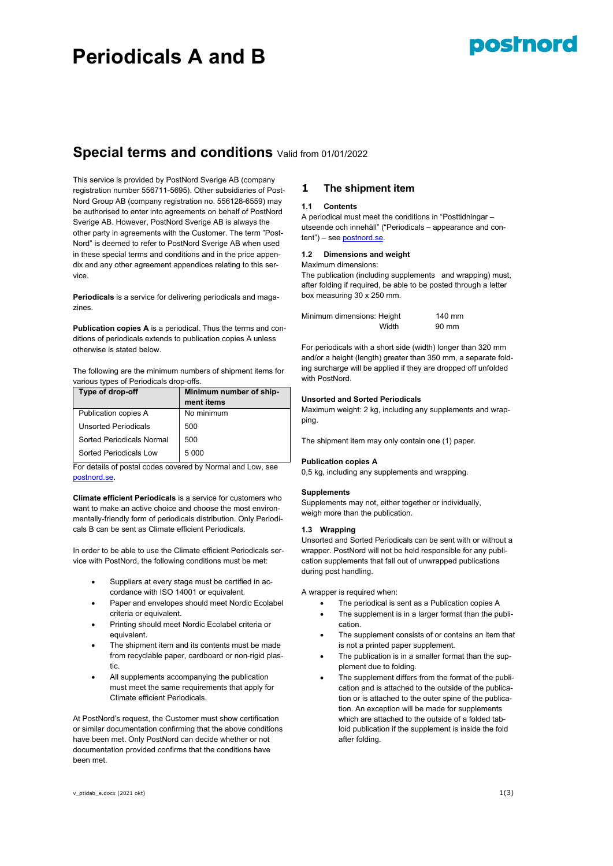# **Periodicals A and B**

# posinord

# **Special terms and conditions** Valid from 01/01/2022

This service is provided by PostNord Sverige AB (company registration number 556711-5695). Other subsidiaries of Post-Nord Group AB (company registration no. 556128-6559) may be authorised to enter into agreements on behalf of PostNord Sverige AB. However, PostNord Sverige AB is always the other party in agreements with the Customer. The term "Post-Nord" is deemed to refer to PostNord Sverige AB when used in these special terms and conditions and in the price appendix and any other agreement appendices relating to this service.

**Periodicals** is a service for delivering periodicals and magazines.

**Publication copies A** is a periodical. Thus the terms and conditions of periodicals extends to publication copies A unless otherwise is stated below.

The following are the minimum numbers of shipment items for various types of Periodicals drop-offs.

| Type of drop-off            | Minimum number of ship-<br>ment items |
|-----------------------------|---------------------------------------|
| Publication copies A        | No minimum                            |
| <b>Unsorted Periodicals</b> | 500                                   |
| Sorted Periodicals Normal   | 500                                   |
| Sorted Periodicals Low      | 5 0 0 0                               |

For details of postal codes covered by Normal and Low, see [postnord.se.](http://www.postnord.se/faktablad)

**Climate efficient Periodicals** is a service for customers who want to make an active choice and choose the most environmentally-friendly form of periodicals distribution. Only Periodicals B can be sent as Climate efficient Periodicals.

In order to be able to use the Climate efficient Periodicals service with PostNord, the following conditions must be met:

- Suppliers at every stage must be certified in accordance with ISO 14001 or equivalent.
- Paper and envelopes should meet Nordic Ecolabel criteria or equivalent.
- Printing should meet Nordic Ecolabel criteria or equivalent.
- The shipment item and its contents must be made from recyclable paper, cardboard or non-rigid plastic.
- All supplements accompanying the publication must meet the same requirements that apply for Climate efficient Periodicals.

At PostNord's request, the Customer must show certification or similar documentation confirming that the above conditions have been met. Only PostNord can decide whether or not documentation provided confirms that the conditions have been met.

# **1 The shipment item**

# **1.1 Contents**

A periodical must meet the conditions in "Posttidningar – utseende och innehåll" ("Periodicals – appearance and content") – see [postnord.se.](http://www.postnord.se/faktablad)

# **1.2 Dimensions and weight**

# Maximum dimensions:

The publication (including supplements and wrapping) must, after folding if required, be able to be posted through a letter box measuring 30 x 250 mm.

| Minimum dimensions: Height |       | 140 mm |
|----------------------------|-------|--------|
|                            | Width | 90 mm  |

For periodicals with a short side (width) longer than 320 mm and/or a height (length) greater than 350 mm, a separate folding surcharge will be applied if they are dropped off unfolded with PostNord.

# **Unsorted and Sorted Periodicals**

Maximum weight: 2 kg, including any supplements and wrapping.

The shipment item may only contain one (1) paper.

# **Publication copies A**

0,5 kg, including any supplements and wrapping.

# **Supplements**

Supplements may not, either together or individually, weigh more than the publication.

# **1.3 Wrapping**

Unsorted and Sorted Periodicals can be sent with or without a wrapper. PostNord will not be held responsible for any publication supplements that fall out of unwrapped publications during post handling.

A wrapper is required when:

- The periodical is sent as a Publication copies A
- The supplement is in a larger format than the publication.
- The supplement consists of or contains an item that is not a printed paper supplement.
- The publication is in a smaller format than the supplement due to folding.
- The supplement differs from the format of the publication and is attached to the outside of the publication or is attached to the outer spine of the publication. An exception will be made for supplements which are attached to the outside of a folded tabloid publication if the supplement is inside the fold after folding.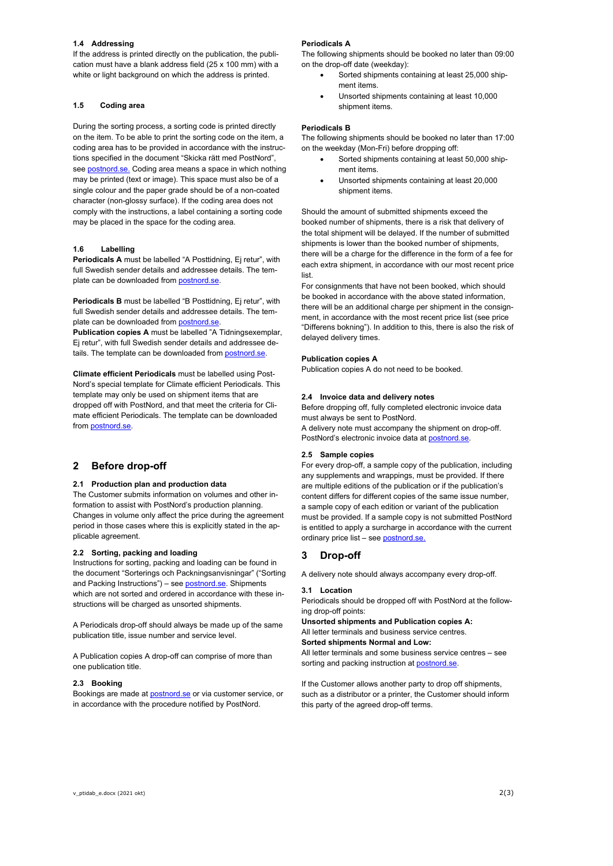# **1.4 Addressing**

If the address is printed directly on the publication, the publication must have a blank address field (25 x 100 mm) with a white or light background on which the address is printed.

# **1.5 Coding area**

During the sorting process, a sorting code is printed directly on the item. To be able to print the sorting code on the item, a coding area has to be provided in accordance with the instructions specified in the document "Skicka rätt med PostNord", see **postnord.se.** Coding area means a space in which nothing may be printed (text or image). This space must also be of a single colour and the paper grade should be of a non-coated character (non-glossy surface). If the coding area does not comply with the instructions, a label containing a sorting code may be placed in the space for the coding area.

# **1.6 Labelling**

**Periodicals A** must be labelled "A Posttidning, Ej retur", with full Swedish sender details and addressee details. The template can be downloaded fro[m postnord.se.](http://www.postnord.se/sv/foretag/Sidor/foretag.aspx)

**Periodicals B** must be labelled "B Posttidning, Ej retur", with full Swedish sender details and addressee details. The template can be downloaded fro[m postnord.se.](http://www.postnord.se/sv/foretag/Sidor/foretag.aspx)

**Publication copies A** must be labelled "A Tidningsexemplar, Ej retur", with full Swedish sender details and addressee details. The template can be downloaded from postnord.se.

**Climate efficient Periodicals** must be labelled using Post-Nord's special template for Climate efficient Periodicals. This template may only be used on shipment items that are dropped off with PostNord, and that meet the criteria for Climate efficient Periodicals. The template can be downloaded from [postnord.se.](http://www.postnord.se/sv/foretag/Sidor/foretag.aspx)

# **2 Before drop-off**

### **2.1 Production plan and production data**

The Customer submits information on volumes and other information to assist with PostNord's production planning. Changes in volume only affect the price during the agreement period in those cases where this is explicitly stated in the applicable agreement.

#### **2.2 Sorting, packing and loading**

Instructions for sorting, packing and loading can be found in the document "Sorterings och Packningsanvisningar" ("Sorting and Packing Instructions") – se[e postnord.se.](http://www.postnord.se/sortering) Shipments which are not sorted and ordered in accordance with these instructions will be charged as unsorted shipments.

A Periodicals drop-off should always be made up of the same publication title, issue number and service level.

A Publication copies A drop-off can comprise of more than one publication title.

# **2.3 Booking**

Bookings are made at [postnord.se](http://www.postnord.se/sv/foretag/Sidor/foretag.aspx) or via customer service, or in accordance with the procedure notified by PostNord.

#### **Periodicals A**

The following shipments should be booked no later than 09:00 on the drop-off date (weekday):

- Sorted shipments containing at least 25,000 shipment items.
- Unsorted shipments containing at least 10,000 shipment items.

# **Periodicals B**

The following shipments should be booked no later than 17:00 on the weekday (Mon-Fri) before dropping off:

- Sorted shipments containing at least 50,000 shipment items.
- Unsorted shipments containing at least 20,000 shipment items.

Should the amount of submitted shipments exceed the booked number of shipments, there is a risk that delivery of the total shipment will be delayed. If the number of submitted shipments is lower than the booked number of shipments, there will be a charge for the difference in the form of a fee for each extra shipment, in accordance with our most recent price list.

For consignments that have not been booked, which should be booked in accordance with the above stated information, there will be an additional charge per shipment in the consignment, in accordance with the most recent price list (see price "Differens bokning"). In addition to this, there is also the risk of delayed delivery times.

# **Publication copies A**

Publication copies A do not need to be booked.

#### **2.4 Invoice data and delivery notes**

Before dropping off, fully completed electronic invoice data must always be sent to PostNord.

A delivery note must accompany the shipment on drop-off. PostNord's electronic invoice data a[t postnord.se.](http://www.postnord.se/efakturaunderlag) 

#### **2.5 Sample copies**

For every drop-off, a sample copy of the publication, including any supplements and wrappings, must be provided. If there are multiple editions of the publication or if the publication's content differs for different copies of the same issue number, a sample copy of each edition or variant of the publication must be provided. If a sample copy is not submitted PostNord is entitled to apply a surcharge in accordance with the current ordinary price list - see **postnord.se.** 

# **3 Drop-off**

A delivery note should always accompany every drop-off.

#### **3.1 Location**

Periodicals should be dropped off with PostNord at the following drop-off points:

**Unsorted shipments and Publication copies A:** All letter terminals and business service centres. **Sorted shipments Normal and Low:**

All letter terminals and some business service centres – see sorting and packing instruction a[t postnord.se.](http://www.postnord.se/sortering)

If the Customer allows another party to drop off shipments, such as a distributor or a printer, the Customer should inform this party of the agreed drop-off terms.